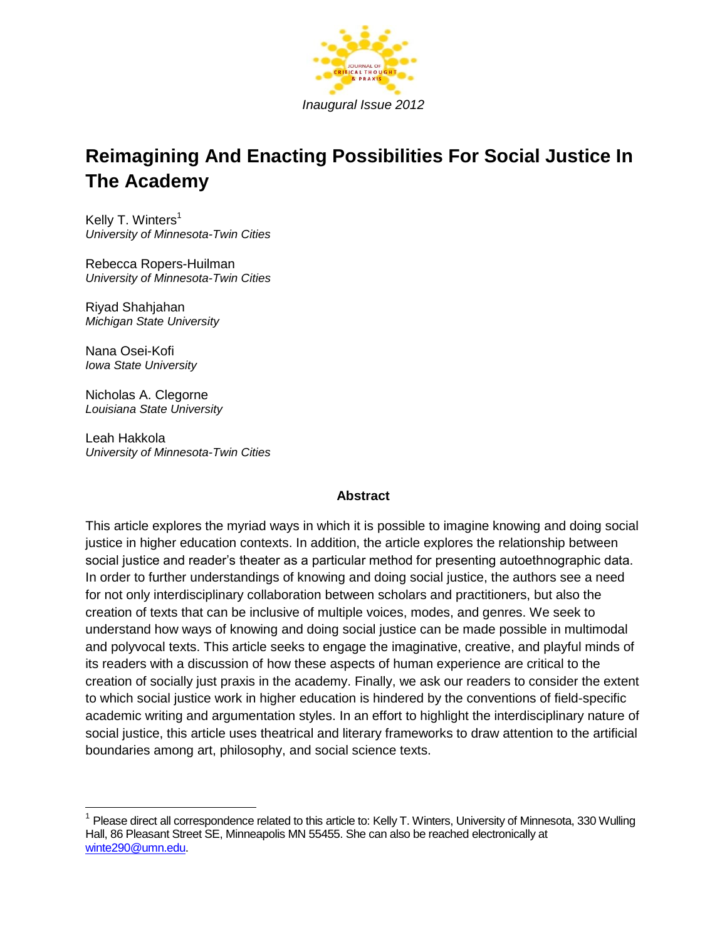

# **Reimagining And Enacting Possibilities For Social Justice In The Academy**

Kelly T. Winters<sup>1</sup> *University of Minnesota-Twin Cities*

Rebecca Ropers-Huilman *University of Minnesota-Twin Cities*

Riyad Shahjahan *Michigan State University*

Nana Osei-Kofi *Iowa State University*

 $\overline{\phantom{a}}$ 

Nicholas A. Clegorne *Louisiana State University*

Leah Hakkola *University of Minnesota-Twin Cities*

### **Abstract**

This article explores the myriad ways in which it is possible to imagine knowing and doing social justice in higher education contexts. In addition, the article explores the relationship between social justice and reader's theater as a particular method for presenting autoethnographic data. In order to further understandings of knowing and doing social justice, the authors see a need for not only interdisciplinary collaboration between scholars and practitioners, but also the creation of texts that can be inclusive of multiple voices, modes, and genres. We seek to understand how ways of knowing and doing social justice can be made possible in multimodal and polyvocal texts. This article seeks to engage the imaginative, creative, and playful minds of its readers with a discussion of how these aspects of human experience are critical to the creation of socially just praxis in the academy. Finally, we ask our readers to consider the extent to which social justice work in higher education is hindered by the conventions of field-specific academic writing and argumentation styles. In an effort to highlight the interdisciplinary nature of social justice, this article uses theatrical and literary frameworks to draw attention to the artificial boundaries among art, philosophy, and social science texts.

<sup>&</sup>lt;sup>1</sup> Please direct all correspondence related to this article to: Kelly T. Winters, University of Minnesota, 330 Wulling Hall, 86 Pleasant Street SE, Minneapolis MN 55455. She can also be reached electronically at [winte290@umn.edu.](mailto:winte290@umn.edu)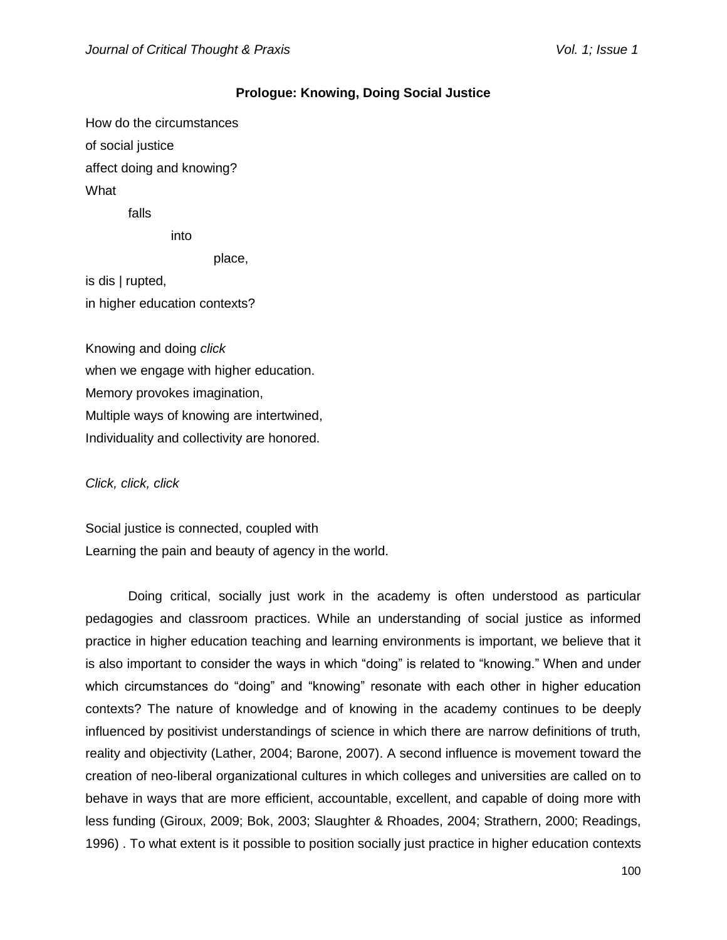#### **Prologue: Knowing, Doing Social Justice**

How do the circumstances of social justice affect doing and knowing? What

falls

into

place,

is dis | rupted, in higher education contexts?

Knowing and doing *click* when we engage with higher education. Memory provokes imagination, Multiple ways of knowing are intertwined, Individuality and collectivity are honored.

*Click, click, click*

Social justice is connected, coupled with Learning the pain and beauty of agency in the world.

Doing critical, socially just work in the academy is often understood as particular pedagogies and classroom practices. While an understanding of social justice as informed practice in higher education teaching and learning environments is important, we believe that it is also important to consider the ways in which "doing" is related to "knowing." When and under which circumstances do "doing" and "knowing" resonate with each other in higher education contexts? The nature of knowledge and of knowing in the academy continues to be deeply influenced by positivist understandings of science in which there are narrow definitions of truth, reality and objectivity (Lather, 2004; Barone, 2007). A second influence is movement toward the creation of neo-liberal organizational cultures in which colleges and universities are called on to behave in ways that are more efficient, accountable, excellent, and capable of doing more with less funding (Giroux, 2009; Bok, 2003; Slaughter & Rhoades, 2004; Strathern, 2000; Readings, 1996) . To what extent is it possible to position socially just practice in higher education contexts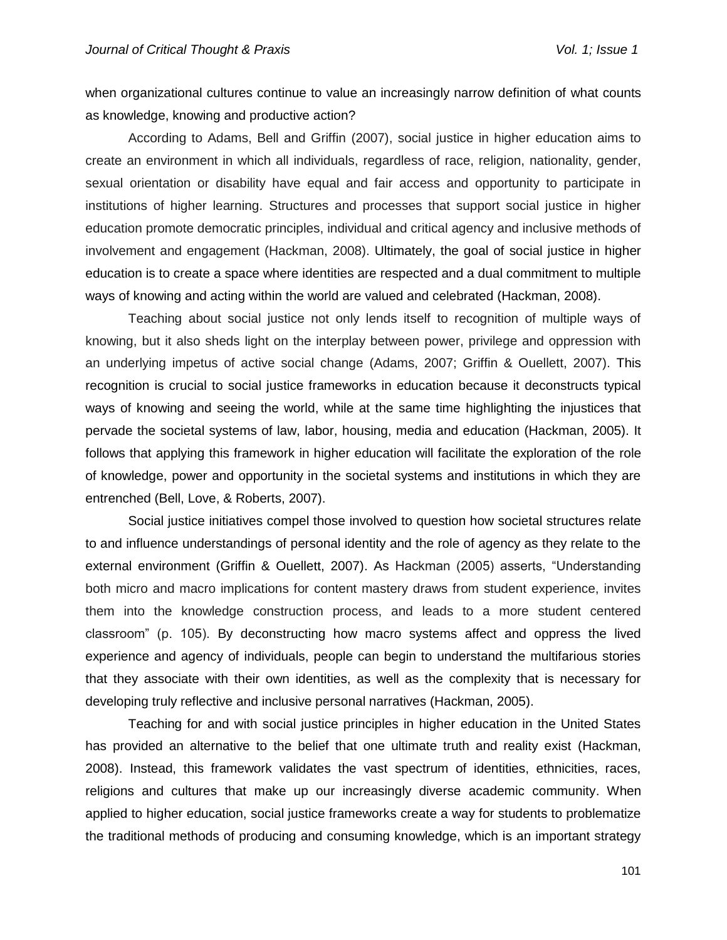when organizational cultures continue to value an increasingly narrow definition of what counts as knowledge, knowing and productive action?

According to Adams, Bell and Griffin (2007), social justice in higher education aims to create an environment in which all individuals, regardless of race, religion, nationality, gender, sexual orientation or disability have equal and fair access and opportunity to participate in institutions of higher learning. Structures and processes that support social justice in higher education promote democratic principles, individual and critical agency and inclusive methods of involvement and engagement (Hackman, 2008). Ultimately, the goal of social justice in higher education is to create a space where identities are respected and a dual commitment to multiple ways of knowing and acting within the world are valued and celebrated (Hackman, 2008).

Teaching about social justice not only lends itself to recognition of multiple ways of knowing, but it also sheds light on the interplay between power, privilege and oppression with an underlying impetus of active social change (Adams, 2007; Griffin & Ouellett, 2007). This recognition is crucial to social justice frameworks in education because it deconstructs typical ways of knowing and seeing the world, while at the same time highlighting the injustices that pervade the societal systems of law, labor, housing, media and education (Hackman, 2005). It follows that applying this framework in higher education will facilitate the exploration of the role of knowledge, power and opportunity in the societal systems and institutions in which they are entrenched (Bell, Love, & Roberts, 2007).

Social justice initiatives compel those involved to question how societal structures relate to and influence understandings of personal identity and the role of agency as they relate to the external environment (Griffin & Ouellett, 2007). As Hackman (2005) asserts, "Understanding both micro and macro implications for content mastery draws from student experience, invites them into the knowledge construction process, and leads to a more student centered classroom" (p. 105). By deconstructing how macro systems affect and oppress the lived experience and agency of individuals, people can begin to understand the multifarious stories that they associate with their own identities, as well as the complexity that is necessary for developing truly reflective and inclusive personal narratives (Hackman, 2005).

Teaching for and with social justice principles in higher education in the United States has provided an alternative to the belief that one ultimate truth and reality exist (Hackman, 2008). Instead, this framework validates the vast spectrum of identities, ethnicities, races, religions and cultures that make up our increasingly diverse academic community. When applied to higher education, social justice frameworks create a way for students to problematize the traditional methods of producing and consuming knowledge, which is an important strategy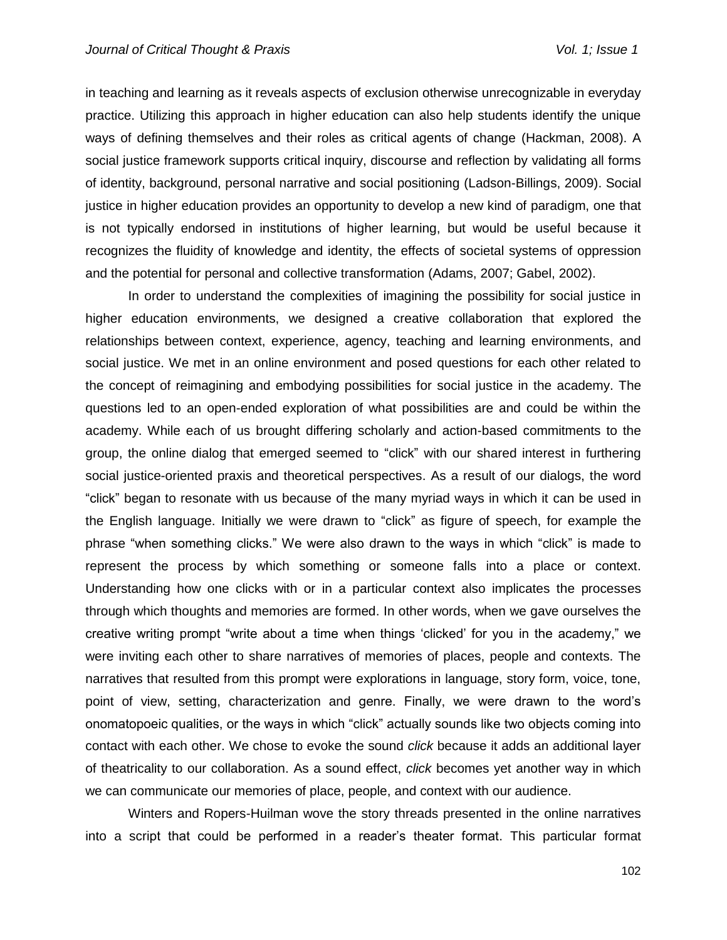in teaching and learning as it reveals aspects of exclusion otherwise unrecognizable in everyday practice. Utilizing this approach in higher education can also help students identify the unique ways of defining themselves and their roles as critical agents of change (Hackman, 2008). A social justice framework supports critical inquiry, discourse and reflection by validating all forms of identity, background, personal narrative and social positioning (Ladson-Billings, 2009). Social justice in higher education provides an opportunity to develop a new kind of paradigm, one that is not typically endorsed in institutions of higher learning, but would be useful because it recognizes the fluidity of knowledge and identity, the effects of societal systems of oppression and the potential for personal and collective transformation (Adams, 2007; Gabel, 2002).

In order to understand the complexities of imagining the possibility for social justice in higher education environments, we designed a creative collaboration that explored the relationships between context, experience, agency, teaching and learning environments, and social justice. We met in an online environment and posed questions for each other related to the concept of reimagining and embodying possibilities for social justice in the academy. The questions led to an open-ended exploration of what possibilities are and could be within the academy. While each of us brought differing scholarly and action-based commitments to the group, the online dialog that emerged seemed to "click" with our shared interest in furthering social justice-oriented praxis and theoretical perspectives. As a result of our dialogs, the word "click" began to resonate with us because of the many myriad ways in which it can be used in the English language. Initially we were drawn to "click" as figure of speech, for example the phrase "when something clicks." We were also drawn to the ways in which "click" is made to represent the process by which something or someone falls into a place or context. Understanding how one clicks with or in a particular context also implicates the processes through which thoughts and memories are formed. In other words, when we gave ourselves the creative writing prompt "write about a time when things 'clicked' for you in the academy," we were inviting each other to share narratives of memories of places, people and contexts. The narratives that resulted from this prompt were explorations in language, story form, voice, tone, point of view, setting, characterization and genre. Finally, we were drawn to the word's onomatopoeic qualities, or the ways in which "click" actually sounds like two objects coming into contact with each other. We chose to evoke the sound *click* because it adds an additional layer of theatricality to our collaboration. As a sound effect, *click* becomes yet another way in which we can communicate our memories of place, people, and context with our audience.

Winters and Ropers-Huilman wove the story threads presented in the online narratives into a script that could be performed in a reader's theater format. This particular format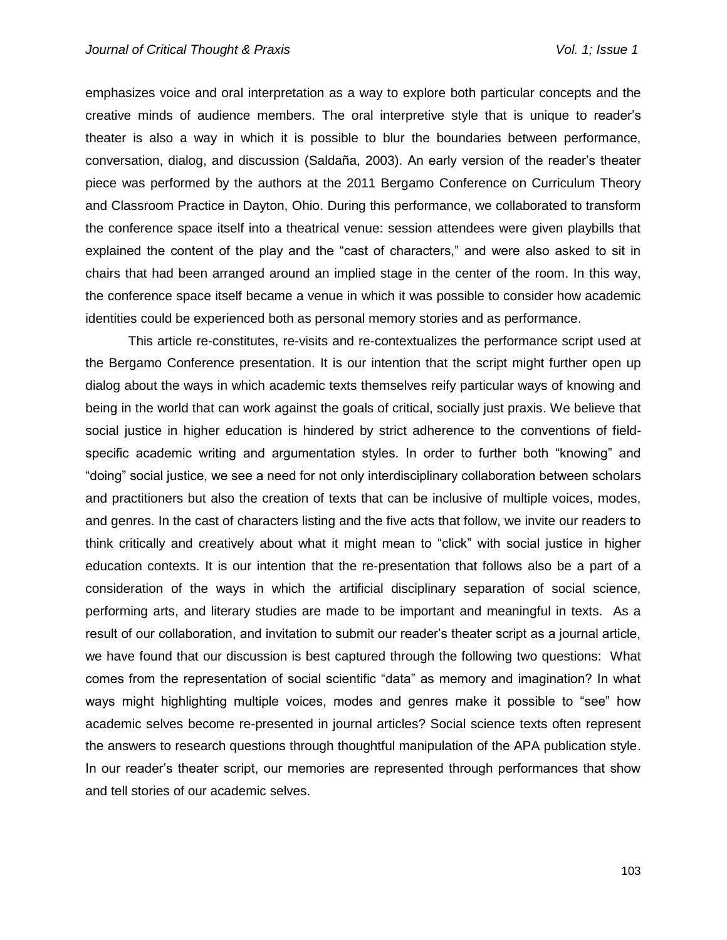emphasizes voice and oral interpretation as a way to explore both particular concepts and the creative minds of audience members. The oral interpretive style that is unique to reader's theater is also a way in which it is possible to blur the boundaries between performance, conversation, dialog, and discussion (Saldaña, 2003). An early version of the reader's theater piece was performed by the authors at the 2011 Bergamo Conference on Curriculum Theory and Classroom Practice in Dayton, Ohio. During this performance, we collaborated to transform the conference space itself into a theatrical venue: session attendees were given playbills that explained the content of the play and the "cast of characters," and were also asked to sit in chairs that had been arranged around an implied stage in the center of the room. In this way, the conference space itself became a venue in which it was possible to consider how academic identities could be experienced both as personal memory stories and as performance.

This article re-constitutes, re-visits and re-contextualizes the performance script used at the Bergamo Conference presentation. It is our intention that the script might further open up dialog about the ways in which academic texts themselves reify particular ways of knowing and being in the world that can work against the goals of critical, socially just praxis. We believe that social justice in higher education is hindered by strict adherence to the conventions of fieldspecific academic writing and argumentation styles. In order to further both "knowing" and "doing" social justice, we see a need for not only interdisciplinary collaboration between scholars and practitioners but also the creation of texts that can be inclusive of multiple voices, modes, and genres. In the cast of characters listing and the five acts that follow, we invite our readers to think critically and creatively about what it might mean to "click" with social justice in higher education contexts. It is our intention that the re-presentation that follows also be a part of a consideration of the ways in which the artificial disciplinary separation of social science, performing arts, and literary studies are made to be important and meaningful in texts. As a result of our collaboration, and invitation to submit our reader's theater script as a journal article, we have found that our discussion is best captured through the following two questions: What comes from the representation of social scientific "data" as memory and imagination? In what ways might highlighting multiple voices, modes and genres make it possible to "see" how academic selves become re-presented in journal articles? Social science texts often represent the answers to research questions through thoughtful manipulation of the APA publication style. In our reader's theater script, our memories are represented through performances that show and tell stories of our academic selves.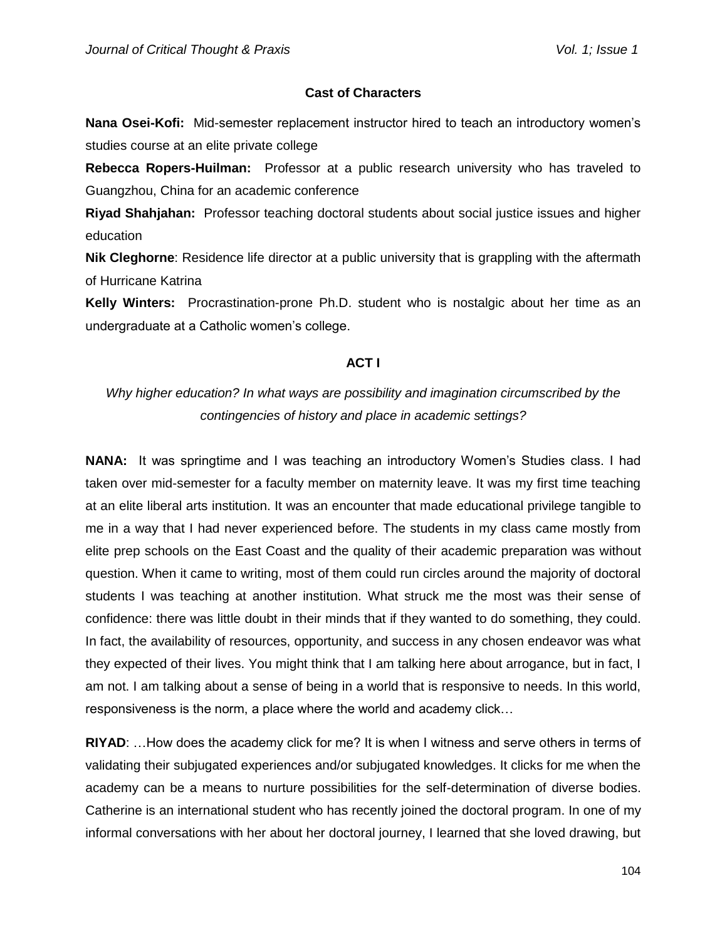### **Cast of Characters**

**Nana Osei-Kofi:** Mid-semester replacement instructor hired to teach an introductory women's studies course at an elite private college

**Rebecca Ropers-Huilman:** Professor at a public research university who has traveled to Guangzhou, China for an academic conference

**Riyad Shahjahan:** Professor teaching doctoral students about social justice issues and higher education

**Nik Cleghorne**: Residence life director at a public university that is grappling with the aftermath of Hurricane Katrina

**Kelly Winters:** Procrastination-prone Ph.D. student who is nostalgic about her time as an undergraduate at a Catholic women's college.

### **ACT I**

# *Why higher education? In what ways are possibility and imagination circumscribed by the contingencies of history and place in academic settings?*

**NANA:** It was springtime and I was teaching an introductory Women's Studies class. I had taken over mid-semester for a faculty member on maternity leave. It was my first time teaching at an elite liberal arts institution. It was an encounter that made educational privilege tangible to me in a way that I had never experienced before. The students in my class came mostly from elite prep schools on the East Coast and the quality of their academic preparation was without question. When it came to writing, most of them could run circles around the majority of doctoral students I was teaching at another institution. What struck me the most was their sense of confidence: there was little doubt in their minds that if they wanted to do something, they could. In fact, the availability of resources, opportunity, and success in any chosen endeavor was what they expected of their lives. You might think that I am talking here about arrogance, but in fact, I am not. I am talking about a sense of being in a world that is responsive to needs. In this world, responsiveness is the norm, a place where the world and academy click…

**RIYAD**: …How does the academy click for me? It is when I witness and serve others in terms of validating their subjugated experiences and/or subjugated knowledges. It clicks for me when the academy can be a means to nurture possibilities for the self-determination of diverse bodies. Catherine is an international student who has recently joined the doctoral program. In one of my informal conversations with her about her doctoral journey, I learned that she loved drawing, but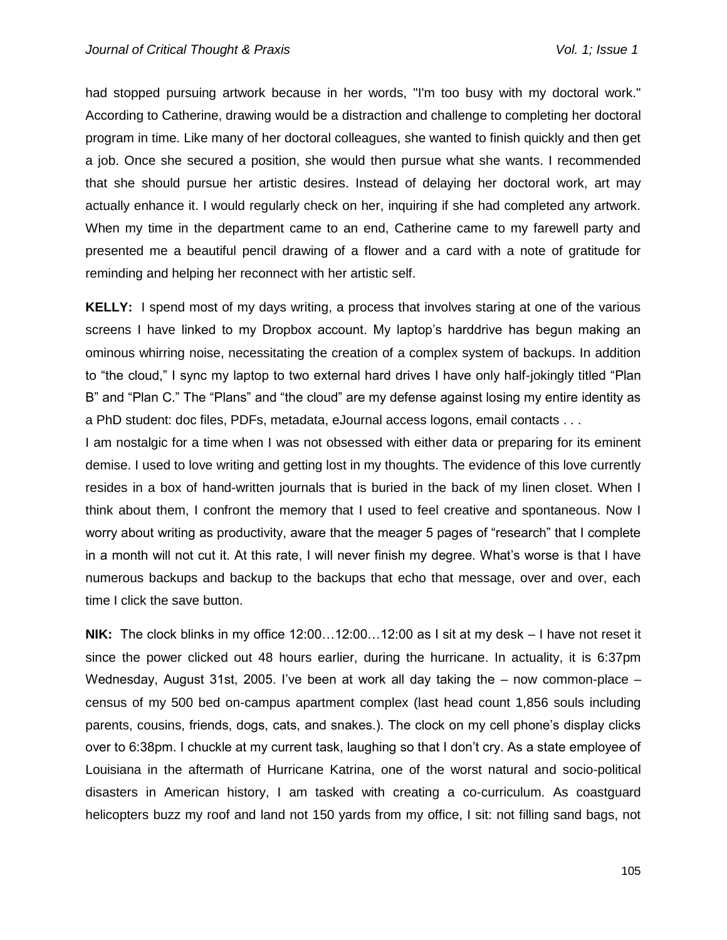had stopped pursuing artwork because in her words, "I'm too busy with my doctoral work." According to Catherine, drawing would be a distraction and challenge to completing her doctoral program in time. Like many of her doctoral colleagues, she wanted to finish quickly and then get a job. Once she secured a position, she would then pursue what she wants. I recommended that she should pursue her artistic desires. Instead of delaying her doctoral work, art may actually enhance it. I would regularly check on her, inquiring if she had completed any artwork. When my time in the department came to an end, Catherine came to my farewell party and presented me a beautiful pencil drawing of a flower and a card with a note of gratitude for reminding and helping her reconnect with her artistic self.

**KELLY:** I spend most of my days writing, a process that involves staring at one of the various screens I have linked to my Dropbox account. My laptop's harddrive has begun making an ominous whirring noise, necessitating the creation of a complex system of backups. In addition to "the cloud," I sync my laptop to two external hard drives I have only half-jokingly titled "Plan B" and "Plan C." The "Plans" and "the cloud" are my defense against losing my entire identity as a PhD student: doc files, PDFs, metadata, eJournal access logons, email contacts . . .

I am nostalgic for a time when I was not obsessed with either data or preparing for its eminent demise. I used to love writing and getting lost in my thoughts. The evidence of this love currently resides in a box of hand-written journals that is buried in the back of my linen closet. When I think about them, I confront the memory that I used to feel creative and spontaneous. Now I worry about writing as productivity, aware that the meager 5 pages of "research" that I complete in a month will not cut it. At this rate, I will never finish my degree. What's worse is that I have numerous backups and backup to the backups that echo that message, over and over, each time I click the save button.

**NIK:** The clock blinks in my office 12:00…12:00…12:00 as I sit at my desk – I have not reset it since the power clicked out 48 hours earlier, during the hurricane. In actuality, it is 6:37pm Wednesday, August 31st, 2005. I've been at work all day taking the – now common-place – census of my 500 bed on-campus apartment complex (last head count 1,856 souls including parents, cousins, friends, dogs, cats, and snakes.). The clock on my cell phone's display clicks over to 6:38pm. I chuckle at my current task, laughing so that I don't cry. As a state employee of Louisiana in the aftermath of Hurricane Katrina, one of the worst natural and socio-political disasters in American history, I am tasked with creating a co-curriculum. As coastguard helicopters buzz my roof and land not 150 yards from my office, I sit: not filling sand bags, not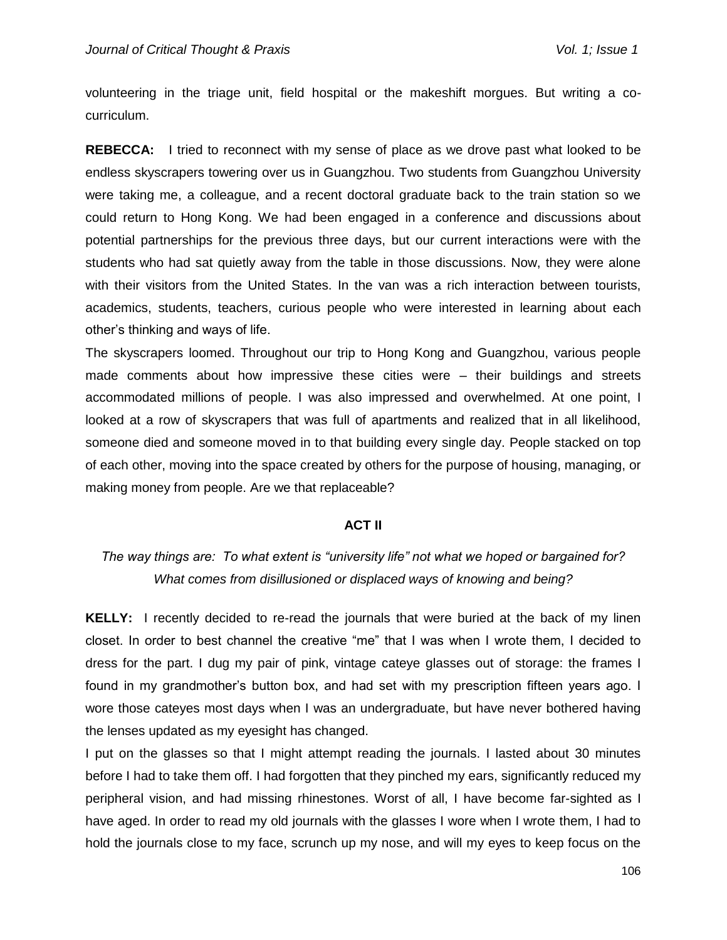volunteering in the triage unit, field hospital or the makeshift morgues. But writing a cocurriculum.

**REBECCA:** I tried to reconnect with my sense of place as we drove past what looked to be endless skyscrapers towering over us in Guangzhou. Two students from Guangzhou University were taking me, a colleague, and a recent doctoral graduate back to the train station so we could return to Hong Kong. We had been engaged in a conference and discussions about potential partnerships for the previous three days, but our current interactions were with the students who had sat quietly away from the table in those discussions. Now, they were alone with their visitors from the United States. In the van was a rich interaction between tourists, academics, students, teachers, curious people who were interested in learning about each other's thinking and ways of life.

The skyscrapers loomed. Throughout our trip to Hong Kong and Guangzhou, various people made comments about how impressive these cities were – their buildings and streets accommodated millions of people. I was also impressed and overwhelmed. At one point, I looked at a row of skyscrapers that was full of apartments and realized that in all likelihood, someone died and someone moved in to that building every single day. People stacked on top of each other, moving into the space created by others for the purpose of housing, managing, or making money from people. Are we that replaceable?

#### **ACT II**

# *The way things are: To what extent is "university life" not what we hoped or bargained for? What comes from disillusioned or displaced ways of knowing and being?*

**KELLY:** I recently decided to re-read the journals that were buried at the back of my linen closet. In order to best channel the creative "me" that I was when I wrote them, I decided to dress for the part. I dug my pair of pink, vintage cateye glasses out of storage: the frames I found in my grandmother's button box, and had set with my prescription fifteen years ago. I wore those cateyes most days when I was an undergraduate, but have never bothered having the lenses updated as my eyesight has changed.

I put on the glasses so that I might attempt reading the journals. I lasted about 30 minutes before I had to take them off. I had forgotten that they pinched my ears, significantly reduced my peripheral vision, and had missing rhinestones. Worst of all, I have become far-sighted as I have aged. In order to read my old journals with the glasses I wore when I wrote them, I had to hold the journals close to my face, scrunch up my nose, and will my eyes to keep focus on the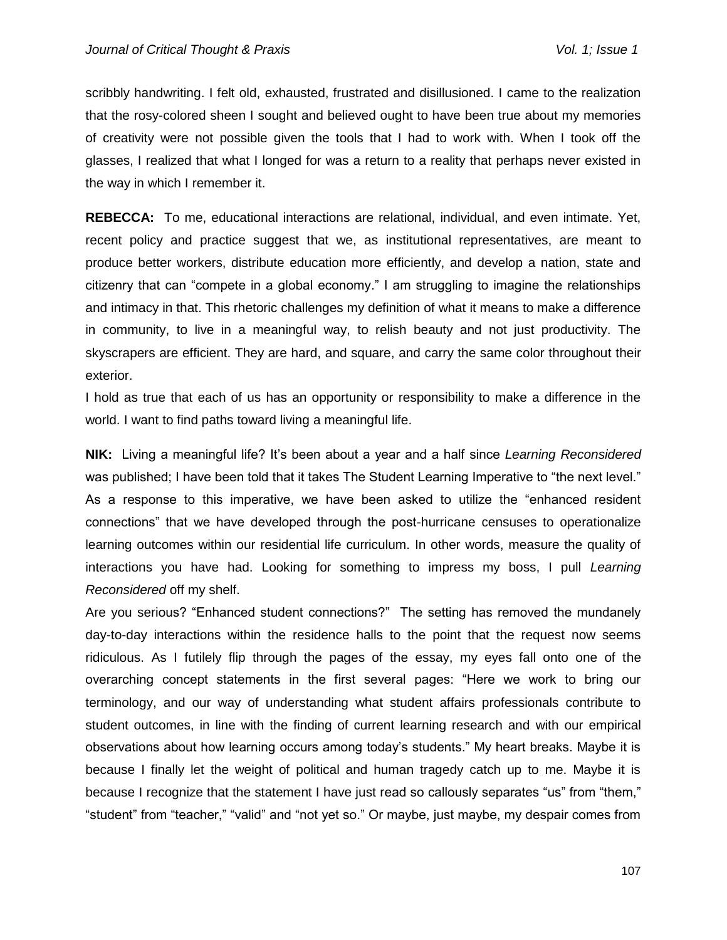scribbly handwriting. I felt old, exhausted, frustrated and disillusioned. I came to the realization that the rosy-colored sheen I sought and believed ought to have been true about my memories of creativity were not possible given the tools that I had to work with. When I took off the glasses, I realized that what I longed for was a return to a reality that perhaps never existed in the way in which I remember it.

**REBECCA:** To me, educational interactions are relational, individual, and even intimate. Yet, recent policy and practice suggest that we, as institutional representatives, are meant to produce better workers, distribute education more efficiently, and develop a nation, state and citizenry that can "compete in a global economy." I am struggling to imagine the relationships and intimacy in that. This rhetoric challenges my definition of what it means to make a difference in community, to live in a meaningful way, to relish beauty and not just productivity. The skyscrapers are efficient. They are hard, and square, and carry the same color throughout their exterior.

I hold as true that each of us has an opportunity or responsibility to make a difference in the world. I want to find paths toward living a meaningful life.

**NIK:** Living a meaningful life? It's been about a year and a half since *Learning Reconsidered* was published; I have been told that it takes The Student Learning Imperative to "the next level." As a response to this imperative, we have been asked to utilize the "enhanced resident connections" that we have developed through the post-hurricane censuses to operationalize learning outcomes within our residential life curriculum. In other words, measure the quality of interactions you have had. Looking for something to impress my boss, I pull *Learning Reconsidered* off my shelf.

Are you serious? "Enhanced student connections?" The setting has removed the mundanely day-to-day interactions within the residence halls to the point that the request now seems ridiculous. As I futilely flip through the pages of the essay, my eyes fall onto one of the overarching concept statements in the first several pages: "Here we work to bring our terminology, and our way of understanding what student affairs professionals contribute to student outcomes, in line with the finding of current learning research and with our empirical observations about how learning occurs among today's students." My heart breaks. Maybe it is because I finally let the weight of political and human tragedy catch up to me. Maybe it is because I recognize that the statement I have just read so callously separates "us" from "them," "student" from "teacher," "valid" and "not yet so." Or maybe, just maybe, my despair comes from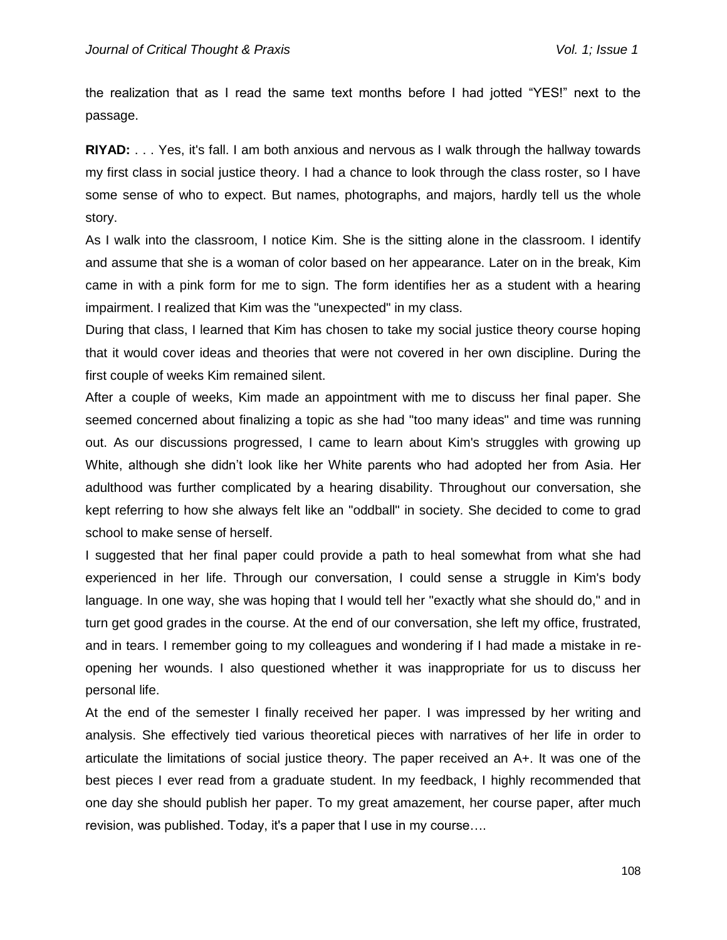the realization that as I read the same text months before I had jotted "YES!" next to the passage.

**RIYAD:** . . . Yes, it's fall. I am both anxious and nervous as I walk through the hallway towards my first class in social justice theory. I had a chance to look through the class roster, so I have some sense of who to expect. But names, photographs, and majors, hardly tell us the whole story.

As I walk into the classroom, I notice Kim. She is the sitting alone in the classroom. I identify and assume that she is a woman of color based on her appearance. Later on in the break, Kim came in with a pink form for me to sign. The form identifies her as a student with a hearing impairment. I realized that Kim was the "unexpected" in my class.

During that class, I learned that Kim has chosen to take my social justice theory course hoping that it would cover ideas and theories that were not covered in her own discipline. During the first couple of weeks Kim remained silent.

After a couple of weeks, Kim made an appointment with me to discuss her final paper. She seemed concerned about finalizing a topic as she had "too many ideas" and time was running out. As our discussions progressed, I came to learn about Kim's struggles with growing up White, although she didn't look like her White parents who had adopted her from Asia. Her adulthood was further complicated by a hearing disability. Throughout our conversation, she kept referring to how she always felt like an "oddball" in society. She decided to come to grad school to make sense of herself.

I suggested that her final paper could provide a path to heal somewhat from what she had experienced in her life. Through our conversation, I could sense a struggle in Kim's body language. In one way, she was hoping that I would tell her "exactly what she should do," and in turn get good grades in the course. At the end of our conversation, she left my office, frustrated, and in tears. I remember going to my colleagues and wondering if I had made a mistake in reopening her wounds. I also questioned whether it was inappropriate for us to discuss her personal life.

At the end of the semester I finally received her paper. I was impressed by her writing and analysis. She effectively tied various theoretical pieces with narratives of her life in order to articulate the limitations of social justice theory. The paper received an A+. It was one of the best pieces I ever read from a graduate student. In my feedback, I highly recommended that one day she should publish her paper. To my great amazement, her course paper, after much revision, was published. Today, it's a paper that I use in my course….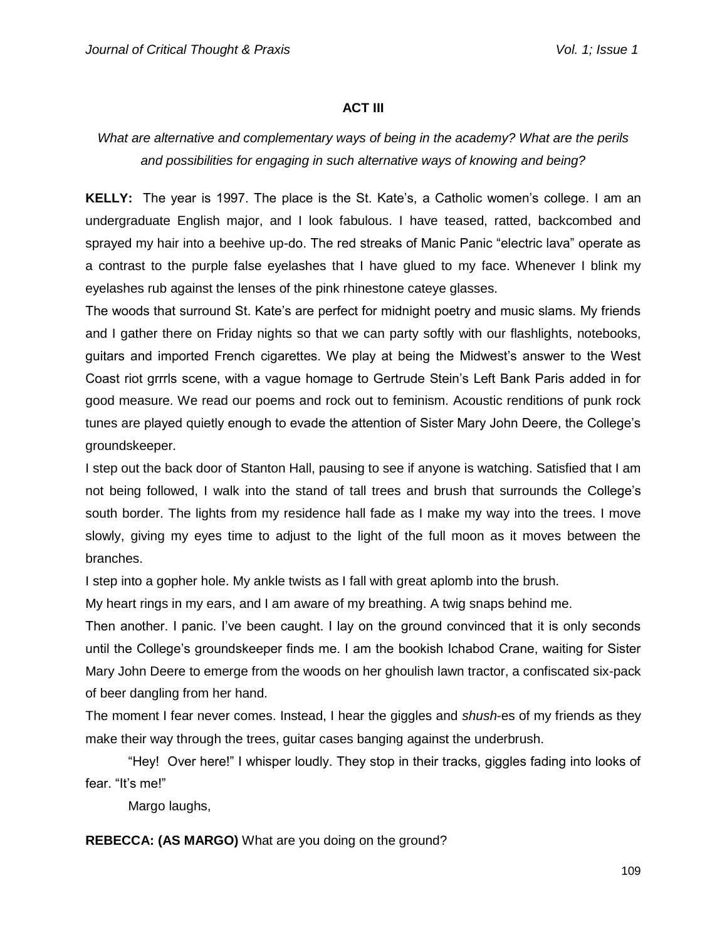## **ACT III**

# *What are alternative and complementary ways of being in the academy? What are the perils and possibilities for engaging in such alternative ways of knowing and being?*

**KELLY:** The year is 1997. The place is the St. Kate's, a Catholic women's college. I am an undergraduate English major, and I look fabulous. I have teased, ratted, backcombed and sprayed my hair into a beehive up-do. The red streaks of Manic Panic "electric lava" operate as a contrast to the purple false eyelashes that I have glued to my face. Whenever I blink my eyelashes rub against the lenses of the pink rhinestone cateye glasses.

The woods that surround St. Kate's are perfect for midnight poetry and music slams. My friends and I gather there on Friday nights so that we can party softly with our flashlights, notebooks, guitars and imported French cigarettes. We play at being the Midwest's answer to the West Coast riot grrrls scene, with a vague homage to Gertrude Stein's Left Bank Paris added in for good measure. We read our poems and rock out to feminism. Acoustic renditions of punk rock tunes are played quietly enough to evade the attention of Sister Mary John Deere, the College's groundskeeper.

I step out the back door of Stanton Hall, pausing to see if anyone is watching. Satisfied that I am not being followed, I walk into the stand of tall trees and brush that surrounds the College's south border. The lights from my residence hall fade as I make my way into the trees. I move slowly, giving my eyes time to adjust to the light of the full moon as it moves between the branches.

I step into a gopher hole. My ankle twists as I fall with great aplomb into the brush.

My heart rings in my ears, and I am aware of my breathing. A twig snaps behind me.

Then another. I panic. I've been caught. I lay on the ground convinced that it is only seconds until the College's groundskeeper finds me. I am the bookish Ichabod Crane, waiting for Sister Mary John Deere to emerge from the woods on her ghoulish lawn tractor, a confiscated six-pack of beer dangling from her hand.

The moment I fear never comes. Instead, I hear the giggles and *shush*-es of my friends as they make their way through the trees, guitar cases banging against the underbrush.

"Hey! Over here!" I whisper loudly. They stop in their tracks, giggles fading into looks of fear. "It's me!"

Margo laughs,

**REBECCA: (AS MARGO)** What are you doing on the ground?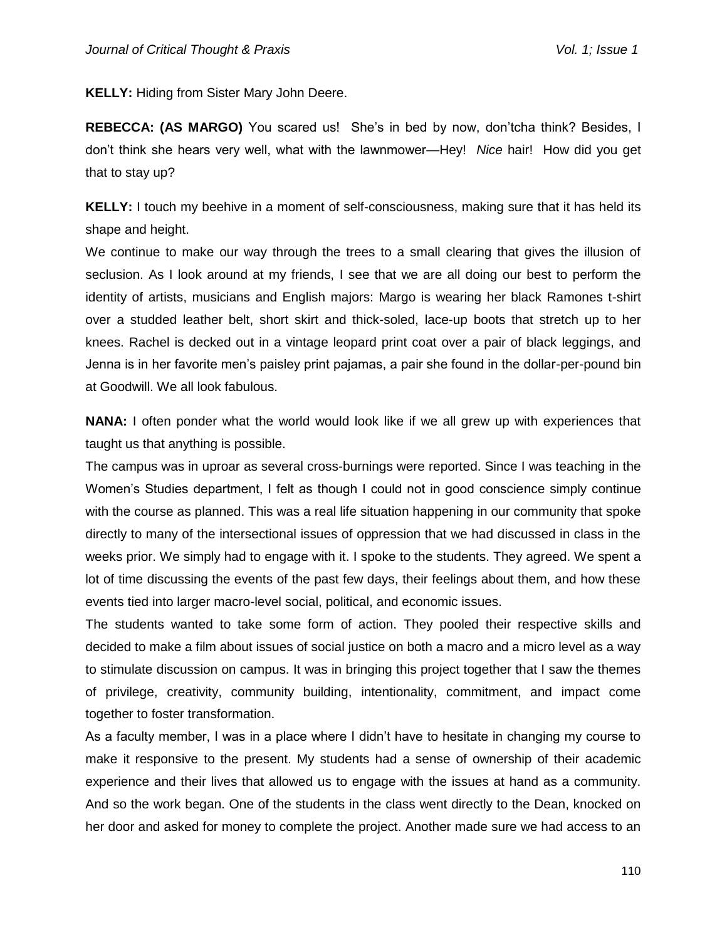**KELLY:** Hiding from Sister Mary John Deere.

**REBECCA: (AS MARGO)** You scared us! She's in bed by now, don'tcha think? Besides, I don't think she hears very well, what with the lawnmower—Hey! *Nice* hair! How did you get that to stay up?

**KELLY:** I touch my beehive in a moment of self-consciousness, making sure that it has held its shape and height.

We continue to make our way through the trees to a small clearing that gives the illusion of seclusion. As I look around at my friends, I see that we are all doing our best to perform the identity of artists, musicians and English majors: Margo is wearing her black Ramones t-shirt over a studded leather belt, short skirt and thick-soled, lace-up boots that stretch up to her knees. Rachel is decked out in a vintage leopard print coat over a pair of black leggings, and Jenna is in her favorite men's paisley print pajamas, a pair she found in the dollar-per-pound bin at Goodwill. We all look fabulous.

**NANA:** I often ponder what the world would look like if we all grew up with experiences that taught us that anything is possible.

The campus was in uproar as several cross-burnings were reported. Since I was teaching in the Women's Studies department, I felt as though I could not in good conscience simply continue with the course as planned. This was a real life situation happening in our community that spoke directly to many of the intersectional issues of oppression that we had discussed in class in the weeks prior. We simply had to engage with it. I spoke to the students. They agreed. We spent a lot of time discussing the events of the past few days, their feelings about them, and how these events tied into larger macro-level social, political, and economic issues.

The students wanted to take some form of action. They pooled their respective skills and decided to make a film about issues of social justice on both a macro and a micro level as a way to stimulate discussion on campus. It was in bringing this project together that I saw the themes of privilege, creativity, community building, intentionality, commitment, and impact come together to foster transformation.

As a faculty member, I was in a place where I didn't have to hesitate in changing my course to make it responsive to the present. My students had a sense of ownership of their academic experience and their lives that allowed us to engage with the issues at hand as a community. And so the work began. One of the students in the class went directly to the Dean, knocked on her door and asked for money to complete the project. Another made sure we had access to an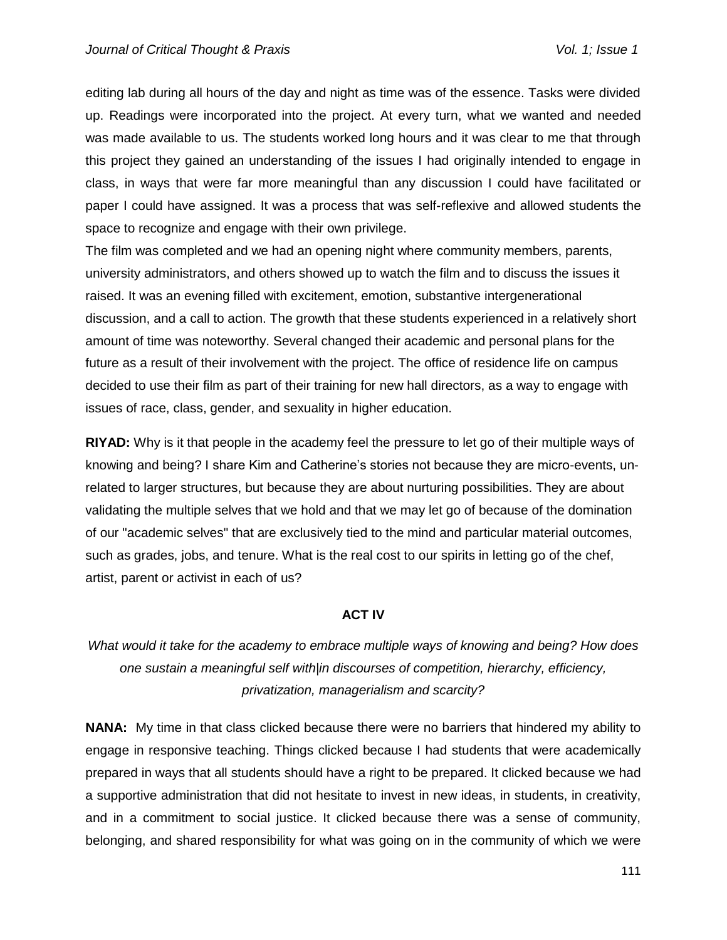editing lab during all hours of the day and night as time was of the essence. Tasks were divided up. Readings were incorporated into the project. At every turn, what we wanted and needed was made available to us. The students worked long hours and it was clear to me that through this project they gained an understanding of the issues I had originally intended to engage in class, in ways that were far more meaningful than any discussion I could have facilitated or paper I could have assigned. It was a process that was self-reflexive and allowed students the space to recognize and engage with their own privilege.

The film was completed and we had an opening night where community members, parents, university administrators, and others showed up to watch the film and to discuss the issues it raised. It was an evening filled with excitement, emotion, substantive intergenerational discussion, and a call to action. The growth that these students experienced in a relatively short amount of time was noteworthy. Several changed their academic and personal plans for the future as a result of their involvement with the project. The office of residence life on campus decided to use their film as part of their training for new hall directors, as a way to engage with issues of race, class, gender, and sexuality in higher education.

**RIYAD:** Why is it that people in the academy feel the pressure to let go of their multiple ways of knowing and being? I share Kim and Catherine's stories not because they are micro-events, unrelated to larger structures, but because they are about nurturing possibilities. They are about validating the multiple selves that we hold and that we may let go of because of the domination of our "academic selves" that are exclusively tied to the mind and particular material outcomes, such as grades, jobs, and tenure. What is the real cost to our spirits in letting go of the chef, artist, parent or activist in each of us?

#### **ACT IV**

*What would it take for the academy to embrace multiple ways of knowing and being? How does one sustain a meaningful self with|in discourses of competition, hierarchy, efficiency, privatization, managerialism and scarcity?*

**NANA:** My time in that class clicked because there were no barriers that hindered my ability to engage in responsive teaching. Things clicked because I had students that were academically prepared in ways that all students should have a right to be prepared. It clicked because we had a supportive administration that did not hesitate to invest in new ideas, in students, in creativity, and in a commitment to social justice. It clicked because there was a sense of community, belonging, and shared responsibility for what was going on in the community of which we were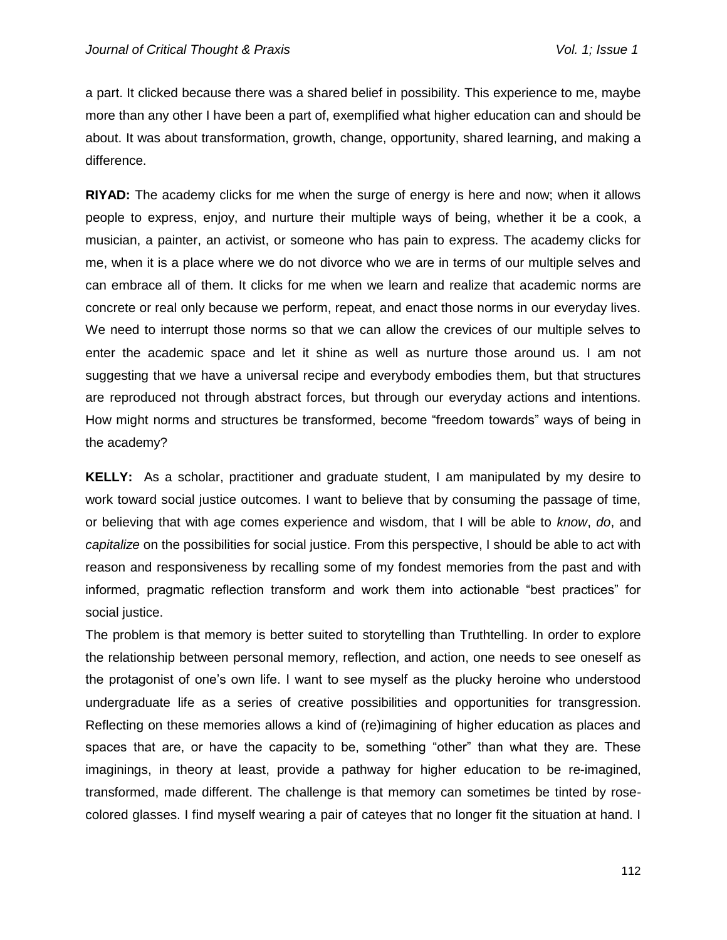a part. It clicked because there was a shared belief in possibility. This experience to me, maybe more than any other I have been a part of, exemplified what higher education can and should be about. It was about transformation, growth, change, opportunity, shared learning, and making a difference.

**RIYAD:** The academy clicks for me when the surge of energy is here and now; when it allows people to express, enjoy, and nurture their multiple ways of being, whether it be a cook, a musician, a painter, an activist, or someone who has pain to express. The academy clicks for me, when it is a place where we do not divorce who we are in terms of our multiple selves and can embrace all of them. It clicks for me when we learn and realize that academic norms are concrete or real only because we perform, repeat, and enact those norms in our everyday lives. We need to interrupt those norms so that we can allow the crevices of our multiple selves to enter the academic space and let it shine as well as nurture those around us. I am not suggesting that we have a universal recipe and everybody embodies them, but that structures are reproduced not through abstract forces, but through our everyday actions and intentions. How might norms and structures be transformed, become "freedom towards" ways of being in the academy?

**KELLY:** As a scholar, practitioner and graduate student, I am manipulated by my desire to work toward social justice outcomes. I want to believe that by consuming the passage of time, or believing that with age comes experience and wisdom, that I will be able to *know*, *do*, and *capitalize* on the possibilities for social justice. From this perspective, I should be able to act with reason and responsiveness by recalling some of my fondest memories from the past and with informed, pragmatic reflection transform and work them into actionable "best practices" for social justice.

The problem is that memory is better suited to storytelling than Truthtelling. In order to explore the relationship between personal memory, reflection, and action, one needs to see oneself as the protagonist of one's own life. I want to see myself as the plucky heroine who understood undergraduate life as a series of creative possibilities and opportunities for transgression. Reflecting on these memories allows a kind of (re)imagining of higher education as places and spaces that are, or have the capacity to be, something "other" than what they are. These imaginings, in theory at least, provide a pathway for higher education to be re-imagined, transformed, made different. The challenge is that memory can sometimes be tinted by rosecolored glasses. I find myself wearing a pair of cateyes that no longer fit the situation at hand. I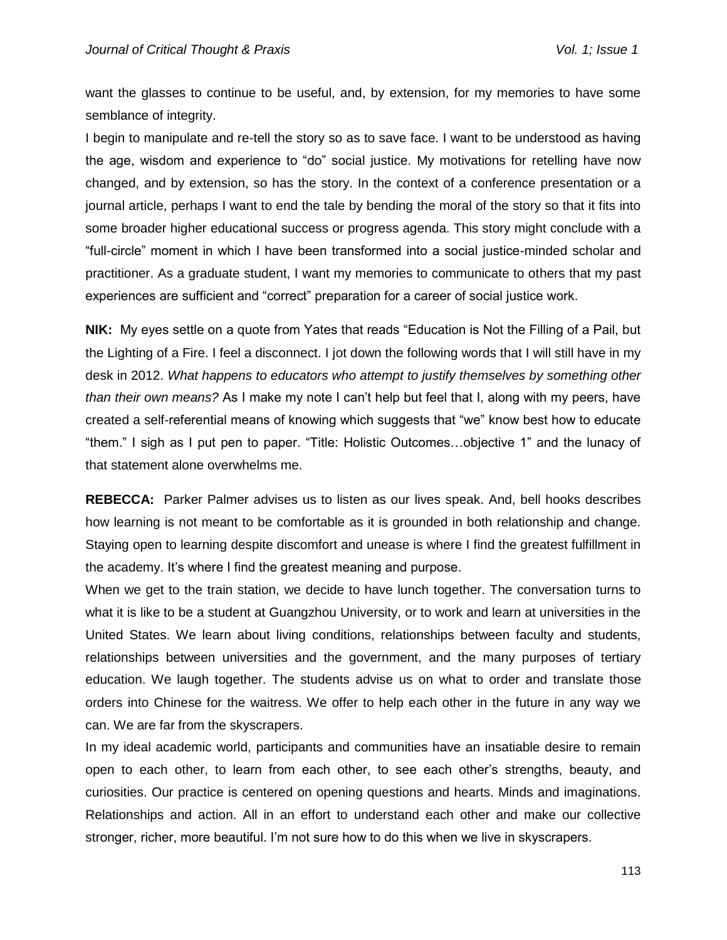want the glasses to continue to be useful, and, by extension, for my memories to have some semblance of integrity.

I begin to manipulate and re-tell the story so as to save face. I want to be understood as having the age, wisdom and experience to "do" social justice. My motivations for retelling have now changed, and by extension, so has the story. In the context of a conference presentation or a journal article, perhaps I want to end the tale by bending the moral of the story so that it fits into some broader higher educational success or progress agenda. This story might conclude with a "full-circle" moment in which I have been transformed into a social justice-minded scholar and practitioner. As a graduate student, I want my memories to communicate to others that my past experiences are sufficient and "correct" preparation for a career of social justice work.

**NIK:** My eyes settle on a quote from Yates that reads "Education is Not the Filling of a Pail, but the Lighting of a Fire. I feel a disconnect. I jot down the following words that I will still have in my desk in 2012. *What happens to educators who attempt to justify themselves by something other than their own means?* As I make my note I can't help but feel that I, along with my peers, have created a self-referential means of knowing which suggests that "we" know best how to educate "them." I sigh as I put pen to paper. "Title: Holistic Outcomes…objective 1" and the lunacy of that statement alone overwhelms me.

**REBECCA:** Parker Palmer advises us to listen as our lives speak. And, bell hooks describes how learning is not meant to be comfortable as it is grounded in both relationship and change. Staying open to learning despite discomfort and unease is where I find the greatest fulfillment in the academy. It's where I find the greatest meaning and purpose.

When we get to the train station, we decide to have lunch together. The conversation turns to what it is like to be a student at Guangzhou University, or to work and learn at universities in the United States. We learn about living conditions, relationships between faculty and students, relationships between universities and the government, and the many purposes of tertiary education. We laugh together. The students advise us on what to order and translate those orders into Chinese for the waitress. We offer to help each other in the future in any way we can. We are far from the skyscrapers.

In my ideal academic world, participants and communities have an insatiable desire to remain open to each other, to learn from each other, to see each other's strengths, beauty, and curiosities. Our practice is centered on opening questions and hearts. Minds and imaginations. Relationships and action. All in an effort to understand each other and make our collective stronger, richer, more beautiful. I'm not sure how to do this when we live in skyscrapers.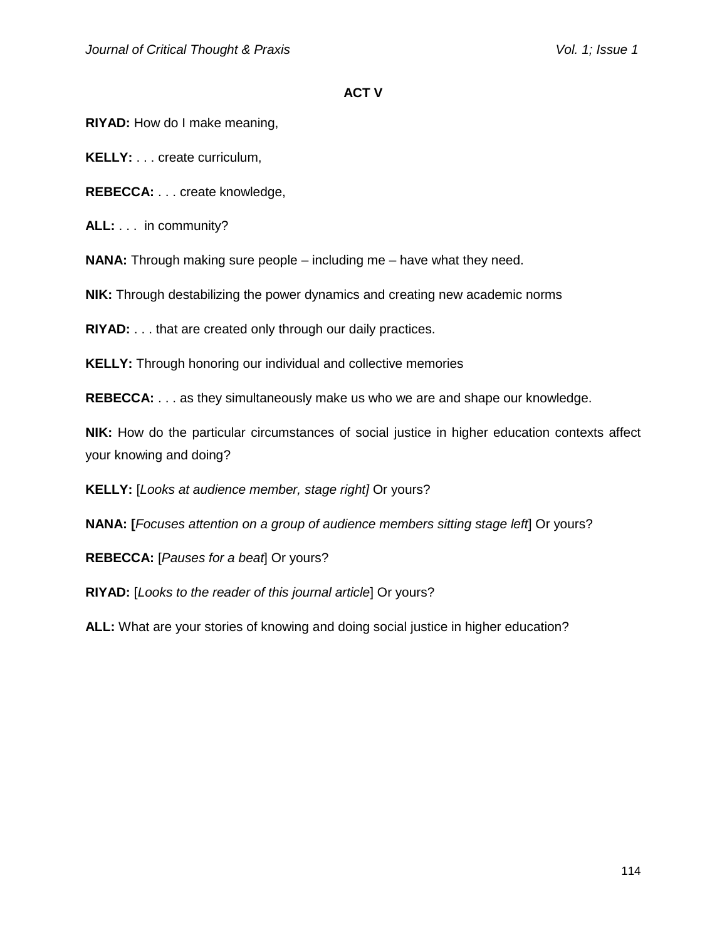### **ACT V**

**RIYAD:** How do I make meaning,

**KELLY:** . . . create curriculum,

**REBECCA:** . . . create knowledge,

**ALL:** . . . in community?

**NANA:** Through making sure people – including me – have what they need.

**NIK:** Through destabilizing the power dynamics and creating new academic norms

**RIYAD:** . . . that are created only through our daily practices.

**KELLY:** Through honoring our individual and collective memories

**REBECCA:** . . . as they simultaneously make us who we are and shape our knowledge.

**NIK:** How do the particular circumstances of social justice in higher education contexts affect your knowing and doing?

**KELLY:** [*Looks at audience member, stage right]* Or yours?

**NANA: [***Focuses attention on a group of audience members sitting stage left*] Or yours?

**REBECCA:** [*Pauses for a beat*] Or yours?

**RIYAD:** [*Looks to the reader of this journal article*] Or yours?

**ALL:** What are your stories of knowing and doing social justice in higher education?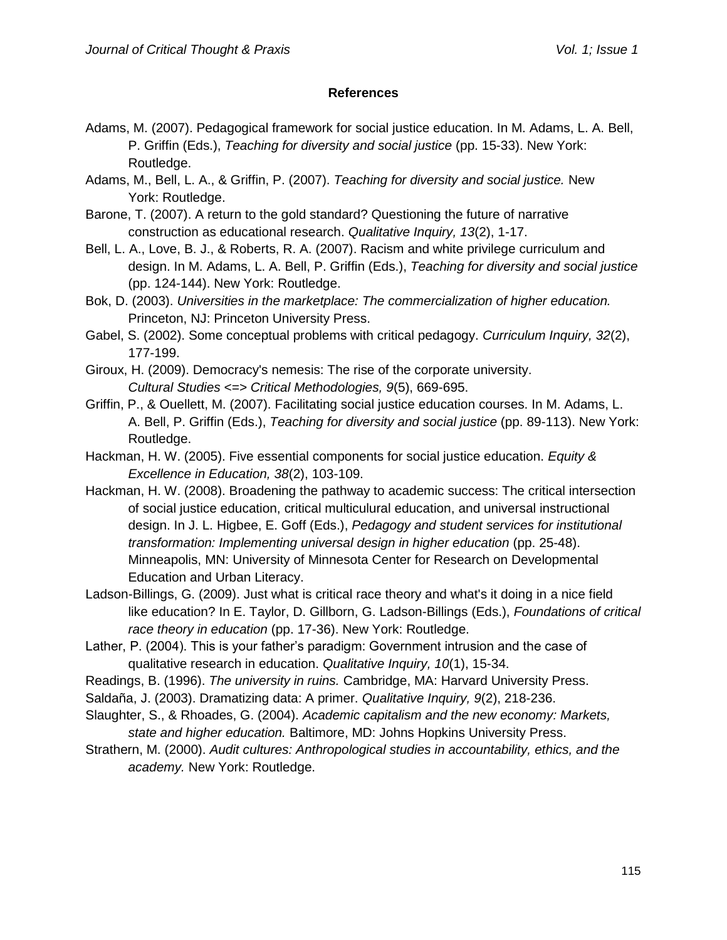### **References**

- Adams, M. (2007). Pedagogical framework for social justice education. In M. Adams, L. A. Bell, P. Griffin (Eds.), *Teaching for diversity and social justice* (pp. 15-33). New York: Routledge.
- Adams, M., Bell, L. A., & Griffin, P. (2007). *Teaching for diversity and social justice.* New York: Routledge.
- Barone, T. (2007). A return to the gold standard? Questioning the future of narrative construction as educational research. *Qualitative Inquiry, 13*(2), 1-17.
- Bell, L. A., Love, B. J., & Roberts, R. A. (2007). Racism and white privilege curriculum and design. In M. Adams, L. A. Bell, P. Griffin (Eds.), *Teaching for diversity and social justice* (pp. 124-144). New York: Routledge.
- Bok, D. (2003). *Universities in the marketplace: The commercialization of higher education.* Princeton, NJ: Princeton University Press.
- Gabel, S. (2002). Some conceptual problems with critical pedagogy. *Curriculum Inquiry, 32*(2), 177-199.
- Giroux, H. (2009). Democracy's nemesis: The rise of the corporate university. *Cultural Studies <=> Critical Methodologies, 9*(5), 669-695.
- Griffin, P., & Ouellett, M. (2007). Facilitating social justice education courses. In M. Adams, L. A. Bell, P. Griffin (Eds.), *Teaching for diversity and social justice* (pp. 89-113). New York: Routledge.
- Hackman, H. W. (2005). Five essential components for social justice education. *Equity & Excellence in Education, 38*(2), 103-109.
- Hackman, H. W. (2008). Broadening the pathway to academic success: The critical intersection of social justice education, critical multiculural education, and universal instructional design. In J. L. Higbee, E. Goff (Eds.), *Pedagogy and student services for institutional transformation: Implementing universal design in higher education* (pp. 25-48). Minneapolis, MN: University of Minnesota Center for Research on Developmental Education and Urban Literacy.
- Ladson-Billings, G. (2009). Just what is critical race theory and what's it doing in a nice field like education? In E. Taylor, D. Gillborn, G. Ladson-Billings (Eds.), *Foundations of critical race theory in education* (pp. 17-36). New York: Routledge.
- Lather, P. (2004). This is your father's paradigm: Government intrusion and the case of qualitative research in education. *Qualitative Inquiry, 10*(1), 15-34.
- Readings, B. (1996). *The university in ruins.* Cambridge, MA: Harvard University Press.
- Saldaña, J. (2003). Dramatizing data: A primer. *Qualitative Inquiry, 9*(2), 218-236.
- Slaughter, S., & Rhoades, G. (2004). *Academic capitalism and the new economy: Markets, state and higher education.* Baltimore, MD: Johns Hopkins University Press.
- Strathern, M. (2000). *Audit cultures: Anthropological studies in accountability, ethics, and the academy.* New York: Routledge.